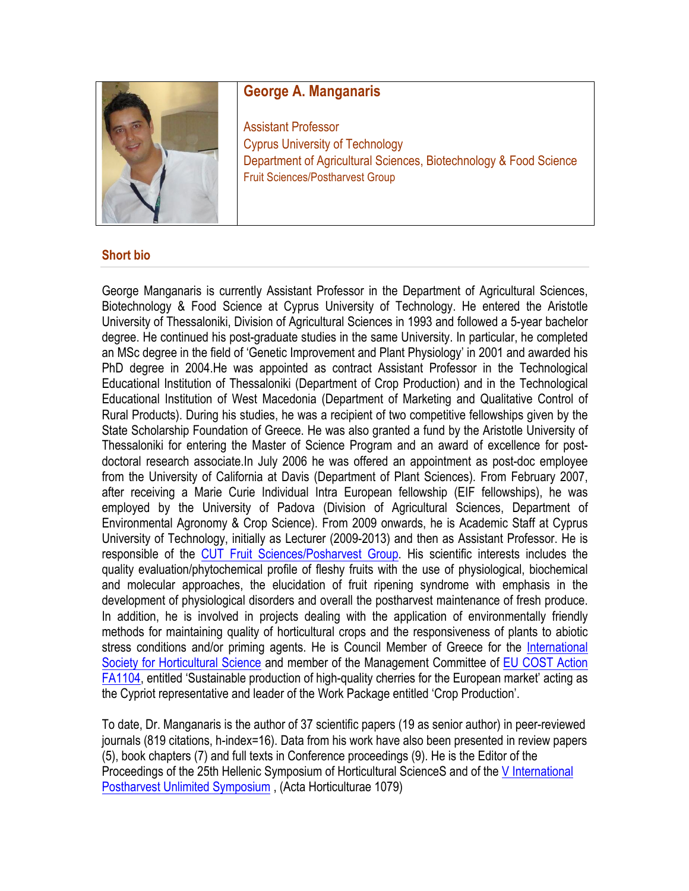

## **George A. Manganaris**

Assistant Professor Cyprus University of Technology Department of Agricultural Sciences, Biotechnology & Food Science Fruit Sciences/Postharvest Group

## **Short bio**

George Manganaris is currently Assistant Professor in the Department of Agricultural Sciences, Biotechnology & Food Science at Cyprus University of Technology. He entered the Aristotle University of Thessaloniki, Division of Agricultural Sciences in 1993 and followed a 5-year bachelor degree. He continued his post-graduate studies in the same University. In particular, he completed an MSc degree in the field of 'Genetic Improvement and Plant Physiology' in 2001 and awarded his PhD degree in 2004.He was appointed as contract Assistant Professor in the Technological Educational Institution of Thessaloniki (Department of Crop Production) and in the Technological Educational Institution of West Macedonia (Department of Marketing and Qualitative Control of Rural Products). During his studies, he was a recipient of two competitive fellowships given by the State Scholarship Foundation of Greece. He was also granted a fund by the Aristotle University of Thessaloniki for entering the Master of Science Program and an award of excellence for postdoctoral research associate.In July 2006 he was offered an appointment as post-doc employee from the University of California at Davis (Department of Plant Sciences). From February 2007, after receiving a Marie Curie Individual Intra European fellowship (EIF fellowships), he was employed by the University of Padova (Division of Agricultural Sciences, Department of Environmental Agronomy & Crop Science). From 2009 onwards, he is Academic Staff at Cyprus University of Technology, initially as Lecturer (2009-2013) and then as Assistant Professor. He is responsible of the CUT Fruit Sciences/Posharvest Group. His scientific interests includes the quality evaluation/phytochemical profile of fleshy fruits with the use of physiological, biochemical and molecular approaches, the elucidation of fruit ripening syndrome with emphasis in the development of physiological disorders and overall the postharvest maintenance of fresh produce. In addition, he is involved in projects dealing with the application of environmentally friendly methods for maintaining quality of horticultural crops and the responsiveness of plants to abiotic stress conditions and/or priming agents. He is Council Member of Greece for the International Society for Horticultural Science and member of the Management Committee of EU COST Action FA1104, entitled 'Sustainable production of high-quality cherries for the European market' acting as the Cypriot representative and leader of the Work Package entitled 'Crop Production'.

To date, Dr. Manganaris is the author of 37 scientific papers (19 as senior author) in peer-reviewed journals (819 citations, h-index=16). Data from his work have also been presented in review papers (5), book chapters (7) and full texts in Conference proceedings (9). He is the Editor of the Proceedings of the 25th Hellenic Symposium of Horticultural ScienceS and of the V International Postharvest Unlimited Symposium , (Acta Horticulturae 1079)